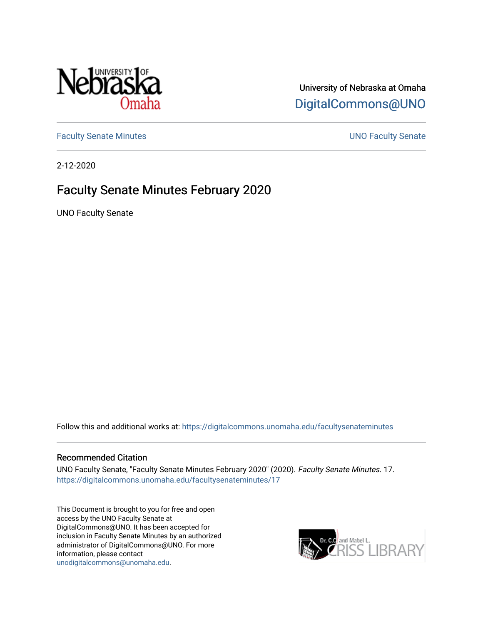

## University of Nebraska at Omaha [DigitalCommons@UNO](https://digitalcommons.unomaha.edu/)

[Faculty Senate Minutes](https://digitalcommons.unomaha.edu/facultysenateminutes) **Example 2018** UNO Faculty Senate

2-12-2020

# Faculty Senate Minutes February 2020

UNO Faculty Senate

Follow this and additional works at: [https://digitalcommons.unomaha.edu/facultysenateminutes](https://digitalcommons.unomaha.edu/facultysenateminutes?utm_source=digitalcommons.unomaha.edu%2Ffacultysenateminutes%2F17&utm_medium=PDF&utm_campaign=PDFCoverPages) 

#### Recommended Citation

UNO Faculty Senate, "Faculty Senate Minutes February 2020" (2020). Faculty Senate Minutes. 17. [https://digitalcommons.unomaha.edu/facultysenateminutes/17](https://digitalcommons.unomaha.edu/facultysenateminutes/17?utm_source=digitalcommons.unomaha.edu%2Ffacultysenateminutes%2F17&utm_medium=PDF&utm_campaign=PDFCoverPages) 

This Document is brought to you for free and open access by the UNO Faculty Senate at DigitalCommons@UNO. It has been accepted for inclusion in Faculty Senate Minutes by an authorized administrator of DigitalCommons@UNO. For more information, please contact [unodigitalcommons@unomaha.edu.](mailto:unodigitalcommons@unomaha.edu)

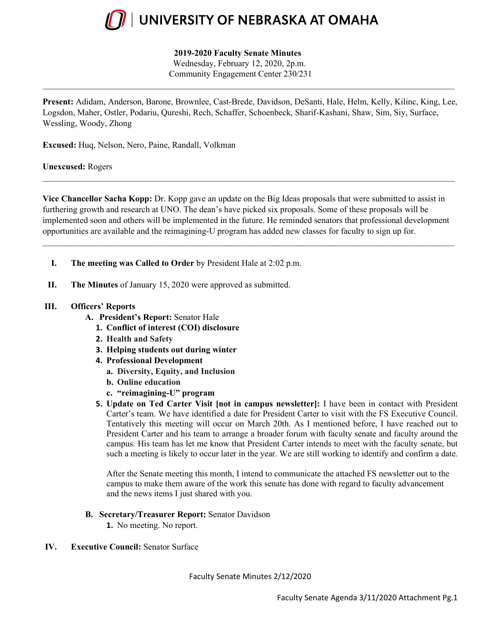

### **2019-2020 Faculty Senate Minutes**

Wednesday, February 12, 2020, 2p.m. Community Engagement Center 230/231

**Present:** Adidam, Anderson, Barone, Brownlee, Cast-Brede, Davidson, DeSanti, Hale, Helm, Kelly, Kilinc, King, Lee, Logsdon, Maher, Ostler, Podariu, Qureshi, Rech, Schaffer, Schoenbeck, Sharif-Kashani, Shaw, Sim, Siy, Surface, Wessling, Woody, Zhong

 $\_$ 

**Excused:** Huq, Nelson, Nero, Paine, Randall, Volkman

**Unexcused:** Rogers

**Vice Chancellor Sacha Kopp:** Dr. Kopp gave an update on the Big Ideas proposals that were submitted to assist in furthering growth and research at UNO. The dean's have picked six proposals. Some of these proposals will be implemented soon and others will be implemented in the future. He reminded senators that professional development opportunities are available and the reimagining-U program has added new classes for faculty to sign up for.

 $\_$  ,  $\_$  ,  $\_$  ,  $\_$  ,  $\_$  ,  $\_$  ,  $\_$  ,  $\_$  ,  $\_$  ,  $\_$  ,  $\_$  ,  $\_$  ,  $\_$  ,  $\_$  ,  $\_$  ,  $\_$  ,  $\_$  ,  $\_$  ,  $\_$  ,  $\_$  ,  $\_$  ,  $\_$  ,  $\_$  ,  $\_$  ,  $\_$  ,  $\_$  ,  $\_$  ,  $\_$  ,  $\_$  ,  $\_$  ,  $\_$  ,  $\_$  ,  $\_$  ,  $\_$  ,  $\_$  ,  $\_$  ,  $\_$  ,

 $\_$ 

- **I. The meeting was Called to Order** by President Hale at 2:02 p.m.
- **II. The Minutes** of January 15, 2020 were approved as submitted.

#### **III. Officers' Reports**

- **A. President's Report:** Senator Hale
	- **1. Conflict of interest (COI) disclosure**
	- **2. Health and Safety**
	- **3. Helping students out during winter**
	- **4. Professional Development**
		- **a. Diversity, Equity, and Inclusion**
		- **b. Online education**
		- **c. "reimagining-U" program**
	- **5. Update on Ted Carter Visit [not in campus newsletter]:** I have been in contact with President Carter's team. We have identified a date for President Carter to visit with the FS Executive Council. Tentatively this meeting will occur on March 20th. As I mentioned before, I have reached out to President Carter and his team to arrange a broader forum with faculty senate and faculty around the campus. His team has let me know that President Carter intends to meet with the faculty senate, but such a meeting is likely to occur later in the year. We are still working to identify and confirm a date.

After the Senate meeting this month, I intend to communicate the attached FS newsletter out to the campus to make them aware of the work this senate has done with regard to faculty advancement and the news items I just shared with you.

- **B. Secretary/Treasurer Report:** Senator Davidson
	- **1.** No meeting. No report.
- **IV. Executive Council:** Senator Surface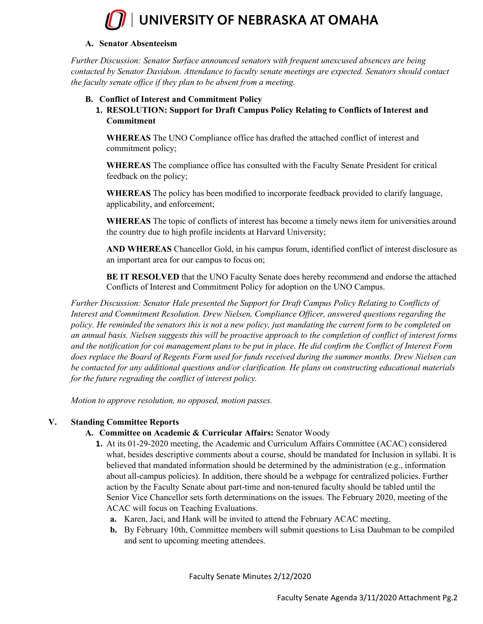

### **A. Senator Absenteeism**

*Further Discussion: Senator Surface announced senators with frequent unexcused absences are being contacted by Senator Davidson. Attendance to faculty senate meetings are expected. Senators should contact the faculty senate office if they plan to be absent from a meeting.* 

### **B. Conflict of Interest and Commitment Policy**

**1. RESOLUTION: Support for Draft Campus Policy Relating to Conflicts of Interest and Commitment** 

**WHEREAS** The UNO Compliance office has drafted the attached conflict of interest and commitment policy;

**WHEREAS** The compliance office has consulted with the Faculty Senate President for critical feedback on the policy;

**WHEREAS** The policy has been modified to incorporate feedback provided to clarify language, applicability, and enforcement;

**WHEREAS** The topic of conflicts of interest has become a timely news item for universities around the country due to high profile incidents at Harvard University;

**AND WHEREAS** Chancellor Gold, in his campus forum, identified conflict of interest disclosure as an important area for our campus to focus on;

**BE IT RESOLVED** that the UNO Faculty Senate does hereby recommend and endorse the attached Conflicts of Interest and Commitment Policy for adoption on the UNO Campus.

*Further Discussion: Senator Hale presented the Support for Draft Campus Policy Relating to Conflicts of Interest and Commitment Resolution. Drew Nielsen, Compliance Officer, answered questions regarding the*  policy. He reminded the senators this is not a new policy, just mandating the current form to be completed on *an annual basis. Nielsen suggests this will be proactive approach to the completion of conflict of interest forms and the notification for coi management plans to be put in place. He did confirm the Conflict of Interest Form does replace the Board of Regents Form used for funds received during the summer months. Drew Nielsen can be contacted for any additional questions and/or clarification. He plans on constructing educational materials for the future regrading the conflict of interest policy.*

*Motion to approve resolution, no opposed, motion passes.*

### **V. Standing Committee Reports**

### **A. Committee on Academic & Curricular Affairs:** Senator Woody

- **1.** At its 01-29-2020 meeting, the Academic and Curriculum Affairs Committee (ACAC) considered what, besides descriptive comments about a course, should be mandated for Inclusion in syllabi. It is believed that mandated information should be determined by the administration (e.g., information about all-campus policies). In addition, there should be a webpage for centralized policies. Further action by the Faculty Senate about part-time and non-tenured faculty should be tabled until the Senior Vice Chancellor sets forth determinations on the issues. The February 2020, meeting of the ACAC will focus on Teaching Evaluations.
	- **a.** Karen, Jaci, and Hank will be invited to attend the February ACAC meeting.
	- **b.** By February 10th, Committee members will submit questions to Lisa Daubman to be compiled and sent to upcoming meeting attendees.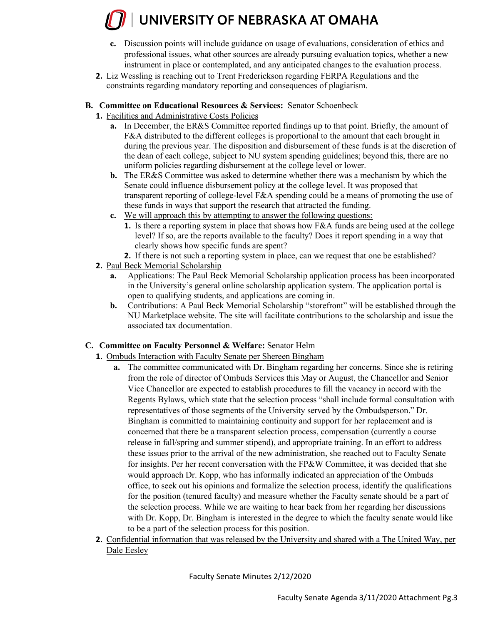# UNIVERSITY OF NEBRASKA AT OMAHA

- **c.** Discussion points will include guidance on usage of evaluations, consideration of ethics and professional issues, what other sources are already pursuing evaluation topics, whether a new instrument in place or contemplated, and any anticipated changes to the evaluation process.
- **2.** Liz Wessling is reaching out to Trent Frederickson regarding FERPA Regulations and the constraints regarding mandatory reporting and consequences of plagiarism.
- **B. Committee on Educational Resources & Services:** Senator Schoenbeck
	- **1.** Facilities and Administrative Costs Policies
		- **a.** In December, the ER&S Committee reported findings up to that point. Briefly, the amount of F&A distributed to the different colleges is proportional to the amount that each brought in during the previous year. The disposition and disbursement of these funds is at the discretion of the dean of each college, subject to NU system spending guidelines; beyond this, there are no uniform policies regarding disbursement at the college level or lower.
		- **b.** The ER&S Committee was asked to determine whether there was a mechanism by which the Senate could influence disbursement policy at the college level. It was proposed that transparent reporting of college-level F&A spending could be a means of promoting the use of these funds in ways that support the research that attracted the funding.
		- **c.** We will approach this by attempting to answer the following questions:
			- **1.** Is there a reporting system in place that shows how F&A funds are being used at the college level? If so, are the reports available to the faculty? Does it report spending in a way that clearly shows how specific funds are spent?
			- **2.** If there is not such a reporting system in place, can we request that one be established?
	- **2.** Paul Beck Memorial Scholarship
		- **a.** Applications: The Paul Beck Memorial Scholarship application process has been incorporated in the University's general online scholarship application system. The application portal is open to qualifying students, and applications are coming in.
		- **b.** Contributions: A Paul Beck Memorial Scholarship "storefront" will be established through the NU Marketplace website. The site will facilitate contributions to the scholarship and issue the associated tax documentation.

## **C. Committee on Faculty Personnel & Welfare:** Senator Helm

- **1.** Ombuds Interaction with Faculty Senate per Shereen Bingham
	- **a.** The committee communicated with Dr. Bingham regarding her concerns. Since she is retiring from the role of director of Ombuds Services this May or August, the Chancellor and Senior Vice Chancellor are expected to establish procedures to fill the vacancy in accord with the Regents Bylaws, which state that the selection process "shall include formal consultation with representatives of those segments of the University served by the Ombudsperson." Dr. Bingham is committed to maintaining continuity and support for her replacement and is concerned that there be a transparent selection process, compensation (currently a course release in fall/spring and summer stipend), and appropriate training. In an effort to address these issues prior to the arrival of the new administration, she reached out to Faculty Senate for insights. Per her recent conversation with the FP&W Committee, it was decided that she would approach Dr. Kopp, who has informally indicated an appreciation of the Ombuds office, to seek out his opinions and formalize the selection process, identify the qualifications for the position (tenured faculty) and measure whether the Faculty senate should be a part of the selection process. While we are waiting to hear back from her regarding her discussions with Dr. Kopp, Dr. Bingham is interested in the degree to which the faculty senate would like to be a part of the selection process for this position.
- **2.** Confidential information that was released by the University and shared with a The United Way, per Dale Eesley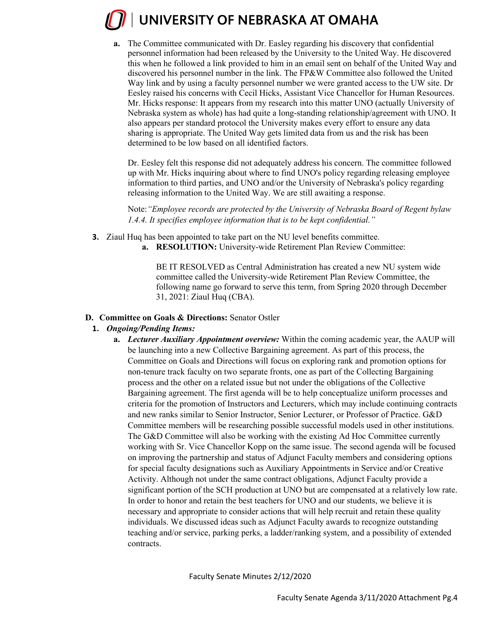# UNIVERSITY OF NEBRASKA AT OMAHA

**a.** The Committee communicated with Dr. Easley regarding his discovery that confidential personnel information had been released by the University to the United Way. He discovered this when he followed a link provided to him in an email sent on behalf of the United Way and discovered his personnel number in the link. The FP&W Committee also followed the United Way link and by using a faculty personnel number we were granted access to the UW site. Dr Eesley raised his concerns with Cecil Hicks, Assistant Vice Chancellor for Human Resources. Mr. Hicks response: It appears from my research into this matter UNO (actually University of Nebraska system as whole) has had quite a long-standing relationship/agreement with UNO. It also appears per standard protocol the University makes every effort to ensure any data sharing is appropriate. The United Way gets limited data from us and the risk has been determined to be low based on all identified factors.

Dr. Eesley felt this response did not adequately address his concern. The committee followed up with Mr. Hicks inquiring about where to find UNO's policy regarding releasing employee information to third parties, and UNO and/or the University of Nebraska's policy regarding releasing information to the United Way. We are still awaiting a response.

Note:*"Employee records are protected by the University of Nebraska Board of Regent bylaw 1.4.4. It specifies employee information that is to be kept confidential."* 

- **3.** Ziaul Huq has been appointed to take part on the NU level benefits committee.
	- **a. RESOLUTION:** University-wide Retirement Plan Review Committee:

BE IT RESOLVED as Central Administration has created a new NU system wide committee called the University-wide Retirement Plan Review Committee, the following name go forward to serve this term, from Spring 2020 through December 31, 2021: Ziaul Huq (CBA).

### **D. Committee on Goals & Directions:** Senator Ostler

### **1.** *Ongoing/Pending Items:*

**a.** *Lecturer Auxiliary Appointment overview:* Within the coming academic year, the AAUP will be launching into a new Collective Bargaining agreement. As part of this process, the Committee on Goals and Directions will focus on exploring rank and promotion options for non-tenure track faculty on two separate fronts, one as part of the Collecting Bargaining process and the other on a related issue but not under the obligations of the Collective Bargaining agreement. The first agenda will be to help conceptualize uniform processes and criteria for the promotion of Instructors and Lecturers, which may include continuing contracts and new ranks similar to Senior Instructor, Senior Lecturer, or Professor of Practice. G&D Committee members will be researching possible successful models used in other institutions. The G&D Committee will also be working with the existing Ad Hoc Committee currently working with Sr. Vice Chancellor Kopp on the same issue. The second agenda will be focused on improving the partnership and status of Adjunct Faculty members and considering options for special faculty designations such as Auxiliary Appointments in Service and/or Creative Activity. Although not under the same contract obligations, Adjunct Faculty provide a significant portion of the SCH production at UNO but are compensated at a relatively low rate. In order to honor and retain the best teachers for UNO and our students, we believe it is necessary and appropriate to consider actions that will help recruit and retain these quality individuals. We discussed ideas such as Adjunct Faculty awards to recognize outstanding teaching and/or service, parking perks, a ladder/ranking system, and a possibility of extended contracts.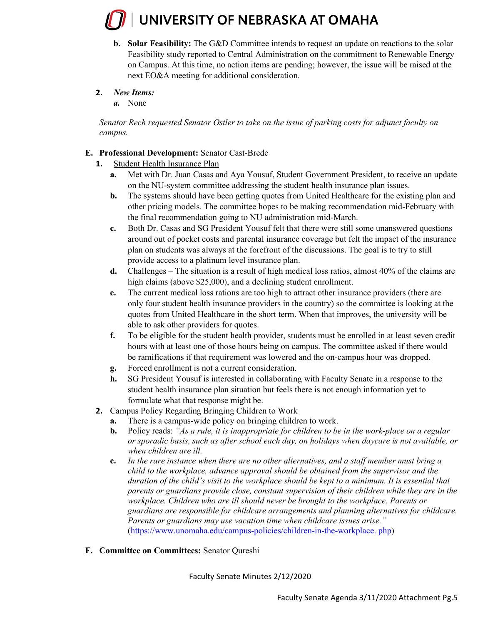# UNIVERSITY OF NEBRASKA AT OMAHA

- **b.** Solar Feasibility: The G&D Committee intends to request an update on reactions to the solar Feasibility study reported to Central Administration on the commitment to Renewable Energy on Campus. At this time, no action items are pending; however, the issue will be raised at the next EO&A meeting for additional consideration.
- **2.** *New Items:* 
	- *a.* None

*Senator Rech requested Senator Ostler to take on the issue of parking costs for adjunct faculty on campus.* 

### **E. Professional Development:** Senator Cast-Brede

- **1.** Student Health Insurance Plan
	- **a.** Met with Dr. Juan Casas and Aya Yousuf, Student Government President, to receive an update on the NU-system committee addressing the student health insurance plan issues.
	- **b.** The systems should have been getting quotes from United Healthcare for the existing plan and other pricing models. The committee hopes to be making recommendation mid-February with the final recommendation going to NU administration mid-March.
	- **c.** Both Dr. Casas and SG President Yousuf felt that there were still some unanswered questions around out of pocket costs and parental insurance coverage but felt the impact of the insurance plan on students was always at the forefront of the discussions. The goal is to try to still provide access to a platinum level insurance plan.
	- **d.** Challenges The situation is a result of high medical loss ratios, almost 40% of the claims are high claims (above \$25,000), and a declining student enrollment.
	- **e.** The current medical loss rations are too high to attract other insurance providers (there are only four student health insurance providers in the country) so the committee is looking at the quotes from United Healthcare in the short term. When that improves, the university will be able to ask other providers for quotes.
	- **f.** To be eligible for the student health provider, students must be enrolled in at least seven credit hours with at least one of those hours being on campus. The committee asked if there would be ramifications if that requirement was lowered and the on-campus hour was dropped.
	- **g.** Forced enrollment is not a current consideration.
	- **h.** SG President Yousuf is interested in collaborating with Faculty Senate in a response to the student health insurance plan situation but feels there is not enough information yet to formulate what that response might be.
- **2.** Campus Policy Regarding Bringing Children to Work
	- **a.** There is a campus-wide policy on bringing children to work.
	- **b.** Policy reads: *"As a rule, it is inappropriate for children to be in the work-place on a regular or sporadic basis, such as after school each day, on holidays when daycare is not available, or when children are ill.*
	- **c.** *In the rare instance when there are no other alternatives, and a staff member must bring a child to the workplace, advance approval should be obtained from the supervisor and the duration of the child's visit to the workplace should be kept to a minimum. It is essential that parents or guardians provide close, constant supervision of their children while they are in the workplace. Children who are ill should never be brought to the workplace. Parents or guardians are responsible for childcare arrangements and planning alternatives for childcare. Parents or guardians may use vacation time when childcare issues arise."* (https://www.unomaha.edu/campus-policies/children-in-the-workplace. php)
- **F. Committee on Committees:** Senator Qureshi